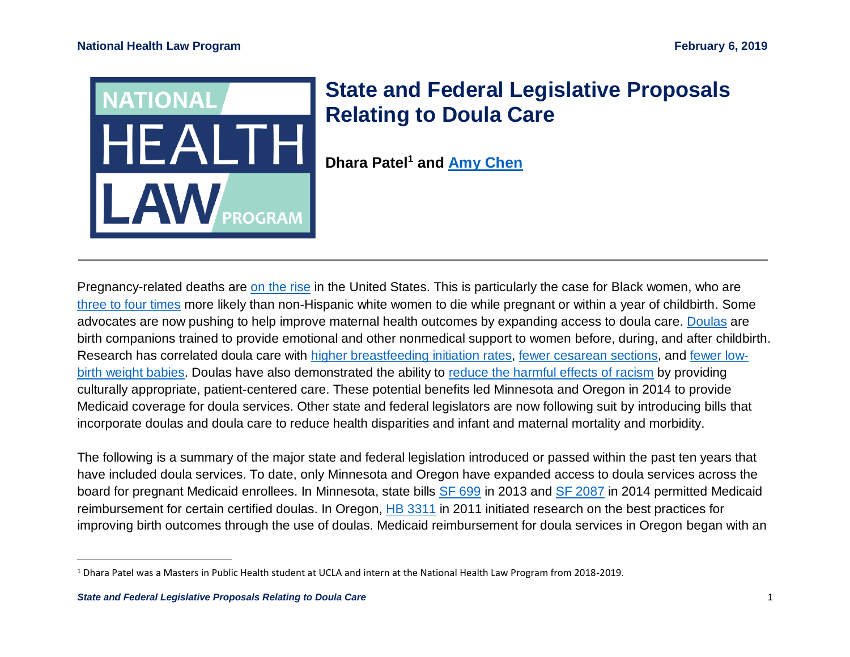

## **State and Federal Legislative Proposals Relating to Doula Care**

**Dhara Patel<sup>1</sup> and [Amy Chen](https://healthlaw.org/team/amy-chen/)**

Pregnancy-related deaths are [on the rise](https://www.cdc.gov/reproductivehealth/maternalinfanthealth/pregnancy-mortality-surveillance-system.htm) in the United States. This is particularly the case for Black women, who are [three to four times](https://www.cdc.gov/reproductivehealth/maternalinfanthealth/pregnancy-mortality-surveillance-system.htm) more likely than non-Hispanic white women to die while pregnant or within a year of childbirth. Some advocates are now pushing to help improve maternal health outcomes by expanding access to doula care. [Doulas](http://americanpregnancy.org/labor-and-birth/having-a-doula/) are birth companions trained to provide emotional and other nonmedical support to women before, during, and after childbirth. Research has correlated doula care with [higher breastfeeding initiation rates,](https://www.ncbi.nlm.nih.gov/pmc/articles/PMC3647727/) [fewer cesarean sections,](https://ajph.aphapublications.org/doi/abs/10.2105/AJPH.2012.301201) and [fewer low](https://www.ncbi.nlm.nih.gov/pmc/articles/PMC3647727/)[birth weight babies.](https://www.ncbi.nlm.nih.gov/pmc/articles/PMC3647727/) Doulas have also demonstrated the ability to [reduce the harmful effects of racism](https://healthlaw.org/resource/routes-to-success-for-medicaid-coverage-of-doula-care/) by providing culturally appropriate, patient-centered care. These potential benefits led Minnesota and Oregon in 2014 to provide Medicaid coverage for doula services. Other state and federal legislators are now following suit by introducing bills that incorporate doulas and doula care to reduce health disparities and infant and maternal mortality and morbidity.

The following is a summary of the major state and federal legislation introduced or passed within the past ten years that have included doula services. To date, only Minnesota and Oregon have expanded access to doula services across the board for pregnant Medicaid enrollees. In Minnesota, state bills [SF 699](https://www.revisor.mn.gov/bills/text.php?number=SF699&version=0&session=ls88&session_year=2013&session_number=0) in 2013 and [SF 2087](https://www.revisor.mn.gov/bills/text.php?number=SF2087&version=latest&session=ls88&session_year=2014&session_number=0) in 2014 permitted Medicaid reimbursement for certain certified doulas. In Oregon, [HB 3311](https://olis.leg.state.or.us/liz/2011R1/Downloads/MeasureDocument/HB3311) in 2011 initiated research on the best practices for improving birth outcomes through the use of doulas. Medicaid reimbursement for doula services in Oregon began with an

 $\overline{a}$ 

<sup>1</sup> Dhara Patel was a Masters in Public Health student at UCLA and intern at the National Health Law Program from 2018-2019.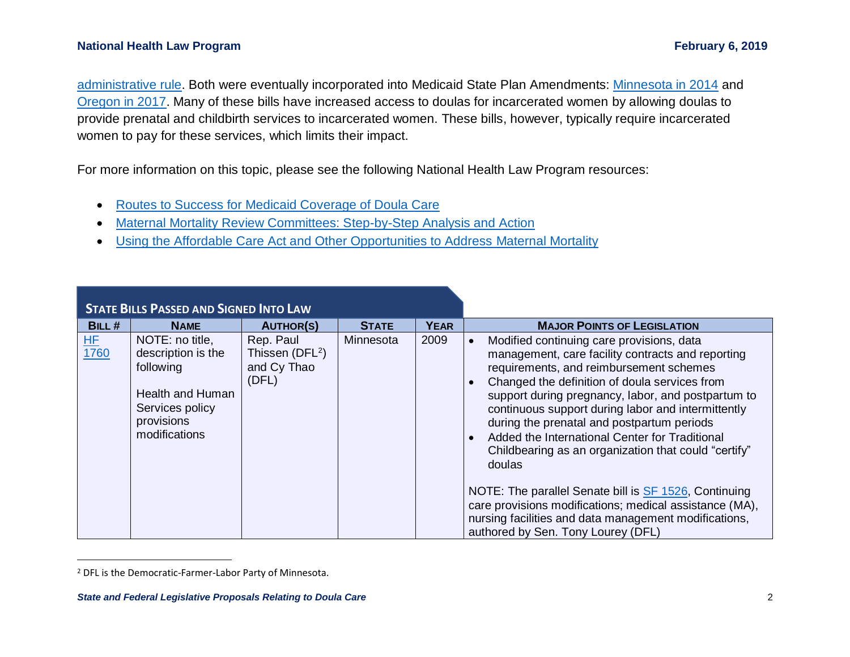## **National Health Law Program <b>February 6, 2019** The Superior Science of the Superior Science of Technical Science of Technical Science of Technical Science of Technical Science of Technical Science of Technical Science of

[administrative rule.](https://www.oregon.gov/oha/HSD/OHP/Tools/Oregon%20Medicaid%20reimbursement%20for%20doula%20services.pdf) Both were eventually incorporated into Medicaid State Plan Amendments: [Minnesota in 2014](https://www.medicaid.gov/State-resource-center/Medicaid-State-Plan-Amendments/Downloads/MN/MN-14-007.pdf) and [Oregon in 2017.](https://www.medicaid.gov/State-resource-center/Medicaid-State-Plan-Amendments/Downloads/OR/OR-17-0006.pdf) Many of these bills have increased access to doulas for incarcerated women by allowing doulas to provide prenatal and childbirth services to incarcerated women. These bills, however, typically require incarcerated women to pay for these services, which limits their impact.

For more information on this topic, please see the following National Health Law Program resources:

- [Routes to Success for Medicaid Coverage of Doula Care](https://healthlaw.org/resource/routes-to-success-for-medicaid-coverage-of-doula-care/)
- [Maternal Mortality Review Committees: Step-by-Step Analysis and Action](https://www.networkforphl.org/_asset/bytdhv/MMRC-Issue-Brief-PFDEL_DY.pdf)
- [Using the Affordable Care Act and Other Opportunities to Address](https://healthlaw.org/resource/using-the-affordable-care-act-and-other-opportunities-to-address-maternal-mortality/) Maternal Mortality

|             | <b>STATE BILLS PASSED AND SIGNED INTO LAW</b>                                                                                   |                                                       |              |             |                                                                                                                                                                                                                                                                                                                                                                                                                                                                                                    |
|-------------|---------------------------------------------------------------------------------------------------------------------------------|-------------------------------------------------------|--------------|-------------|----------------------------------------------------------------------------------------------------------------------------------------------------------------------------------------------------------------------------------------------------------------------------------------------------------------------------------------------------------------------------------------------------------------------------------------------------------------------------------------------------|
| BILL#       | <b>NAME</b>                                                                                                                     | <b>AUTHOR(S)</b>                                      | <b>STATE</b> | <b>YEAR</b> | <b>MAJOR POINTS OF LEGISLATION</b>                                                                                                                                                                                                                                                                                                                                                                                                                                                                 |
| HF.<br>1760 | NOTE: no title,<br>description is the<br>following<br><b>Health and Human</b><br>Services policy<br>provisions<br>modifications | Rep. Paul<br>Thissen $(DFL2)$<br>and Cy Thao<br>(DFL) | Minnesota    | 2009        | Modified continuing care provisions, data<br>$\bullet$<br>management, care facility contracts and reporting<br>requirements, and reimbursement schemes<br>Changed the definition of doula services from<br>support during pregnancy, labor, and postpartum to<br>continuous support during labor and intermittently<br>during the prenatal and postpartum periods<br>Added the International Center for Traditional<br>$\bullet$<br>Childbearing as an organization that could "certify"<br>doulas |
|             |                                                                                                                                 |                                                       |              |             | NOTE: The parallel Senate bill is SF 1526, Continuing<br>care provisions modifications; medical assistance (MA),<br>nursing facilities and data management modifications,<br>authored by Sen. Tony Lourey (DFL)                                                                                                                                                                                                                                                                                    |

<sup>2</sup> DFL is the Democratic-Farmer-Labor Party of Minnesota.

 $\overline{a}$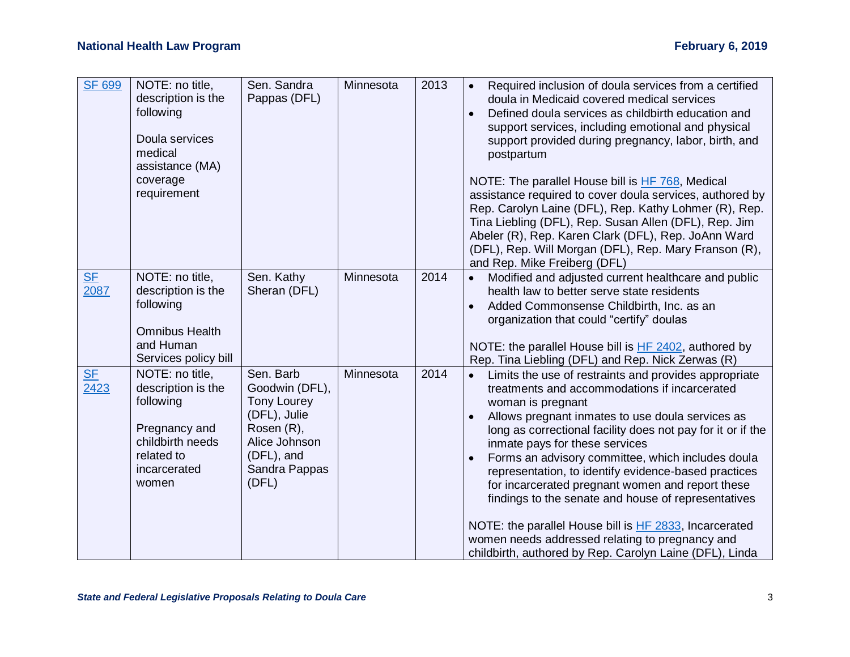| <b>SF 699</b>     | NOTE: no title,<br>description is the<br>following<br>Doula services<br>medical<br>assistance (MA)<br>coverage<br>requirement  | Sen. Sandra<br>Pappas (DFL)                                                                                                              | Minnesota | 2013 | Required inclusion of doula services from a certified<br>$\bullet$<br>doula in Medicaid covered medical services<br>Defined doula services as childbirth education and<br>$\bullet$<br>support services, including emotional and physical<br>support provided during pregnancy, labor, birth, and<br>postpartum<br>NOTE: The parallel House bill is HF 768, Medical<br>assistance required to cover doula services, authored by<br>Rep. Carolyn Laine (DFL), Rep. Kathy Lohmer (R), Rep.<br>Tina Liebling (DFL), Rep. Susan Allen (DFL), Rep. Jim<br>Abeler (R), Rep. Karen Clark (DFL), Rep. JoAnn Ward<br>(DFL), Rep. Will Morgan (DFL), Rep. Mary Franson (R),<br>and Rep. Mike Freiberg (DFL)                       |
|-------------------|--------------------------------------------------------------------------------------------------------------------------------|------------------------------------------------------------------------------------------------------------------------------------------|-----------|------|-------------------------------------------------------------------------------------------------------------------------------------------------------------------------------------------------------------------------------------------------------------------------------------------------------------------------------------------------------------------------------------------------------------------------------------------------------------------------------------------------------------------------------------------------------------------------------------------------------------------------------------------------------------------------------------------------------------------------|
| <b>SF</b><br>2087 | NOTE: no title,<br>description is the<br>following<br><b>Omnibus Health</b><br>and Human<br>Services policy bill               | Sen. Kathy<br>Sheran (DFL)                                                                                                               | Minnesota | 2014 | Modified and adjusted current healthcare and public<br>health law to better serve state residents<br>Added Commonsense Childbirth, Inc. as an<br>$\bullet$<br>organization that could "certify" doulas<br>NOTE: the parallel House bill is HF 2402, authored by<br>Rep. Tina Liebling (DFL) and Rep. Nick Zerwas (R)                                                                                                                                                                                                                                                                                                                                                                                                    |
| <b>SF</b><br>2423 | NOTE: no title,<br>description is the<br>following<br>Pregnancy and<br>childbirth needs<br>related to<br>incarcerated<br>women | Sen. Barb<br>Goodwin (DFL),<br><b>Tony Lourey</b><br>(DFL), Julie<br>Rosen (R),<br>Alice Johnson<br>(DFL), and<br>Sandra Pappas<br>(DFL) | Minnesota | 2014 | Limits the use of restraints and provides appropriate<br>$\bullet$<br>treatments and accommodations if incarcerated<br>woman is pregnant<br>Allows pregnant inmates to use doula services as<br>$\bullet$<br>long as correctional facility does not pay for it or if the<br>inmate pays for these services<br>Forms an advisory committee, which includes doula<br>$\bullet$<br>representation, to identify evidence-based practices<br>for incarcerated pregnant women and report these<br>findings to the senate and house of representatives<br>NOTE: the parallel House bill is HF 2833, Incarcerated<br>women needs addressed relating to pregnancy and<br>childbirth, authored by Rep. Carolyn Laine (DFL), Linda |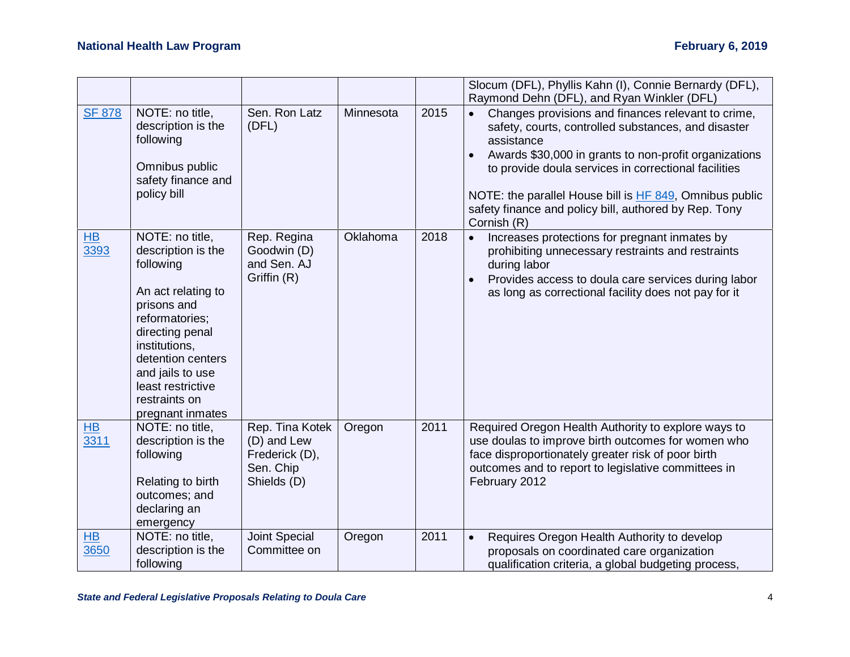|                   |                                                                                                                                                                                                                                                  |                                                                              |           |      | Slocum (DFL), Phyllis Kahn (I), Connie Bernardy (DFL),<br>Raymond Dehn (DFL), and Ryan Winkler (DFL)                                                                                                                                                                                                                                                                                     |
|-------------------|--------------------------------------------------------------------------------------------------------------------------------------------------------------------------------------------------------------------------------------------------|------------------------------------------------------------------------------|-----------|------|------------------------------------------------------------------------------------------------------------------------------------------------------------------------------------------------------------------------------------------------------------------------------------------------------------------------------------------------------------------------------------------|
| <b>SF 878</b>     | NOTE: no title,<br>description is the<br>following<br>Omnibus public<br>safety finance and<br>policy bill                                                                                                                                        | Sen. Ron Latz<br>(DFL)                                                       | Minnesota | 2015 | Changes provisions and finances relevant to crime,<br>$\bullet$<br>safety, courts, controlled substances, and disaster<br>assistance<br>Awards \$30,000 in grants to non-profit organizations<br>to provide doula services in correctional facilities<br>NOTE: the parallel House bill is HF 849, Omnibus public<br>safety finance and policy bill, authored by Rep. Tony<br>Cornish (R) |
| <b>HB</b><br>3393 | NOTE: no title,<br>description is the<br>following<br>An act relating to<br>prisons and<br>reformatories;<br>directing penal<br>institutions,<br>detention centers<br>and jails to use<br>least restrictive<br>restraints on<br>pregnant inmates | Rep. Regina<br>Goodwin (D)<br>and Sen. AJ<br>Griffin (R)                     | Oklahoma  | 2018 | Increases protections for pregnant inmates by<br>$\bullet$<br>prohibiting unnecessary restraints and restraints<br>during labor<br>Provides access to doula care services during labor<br>$\bullet$<br>as long as correctional facility does not pay for it                                                                                                                              |
| HB<br>3311        | NOTE: no title,<br>description is the<br>following<br>Relating to birth<br>outcomes; and<br>declaring an<br>emergency                                                                                                                            | Rep. Tina Kotek<br>(D) and Lew<br>Frederick (D),<br>Sen. Chip<br>Shields (D) | Oregon    | 2011 | Required Oregon Health Authority to explore ways to<br>use doulas to improve birth outcomes for women who<br>face disproportionately greater risk of poor birth<br>outcomes and to report to legislative committees in<br>February 2012                                                                                                                                                  |
| <b>HB</b><br>3650 | NOTE: no title,<br>description is the<br>following                                                                                                                                                                                               | <b>Joint Special</b><br>Committee on                                         | Oregon    | 2011 | Requires Oregon Health Authority to develop<br>$\bullet$<br>proposals on coordinated care organization<br>qualification criteria, a global budgeting process,                                                                                                                                                                                                                            |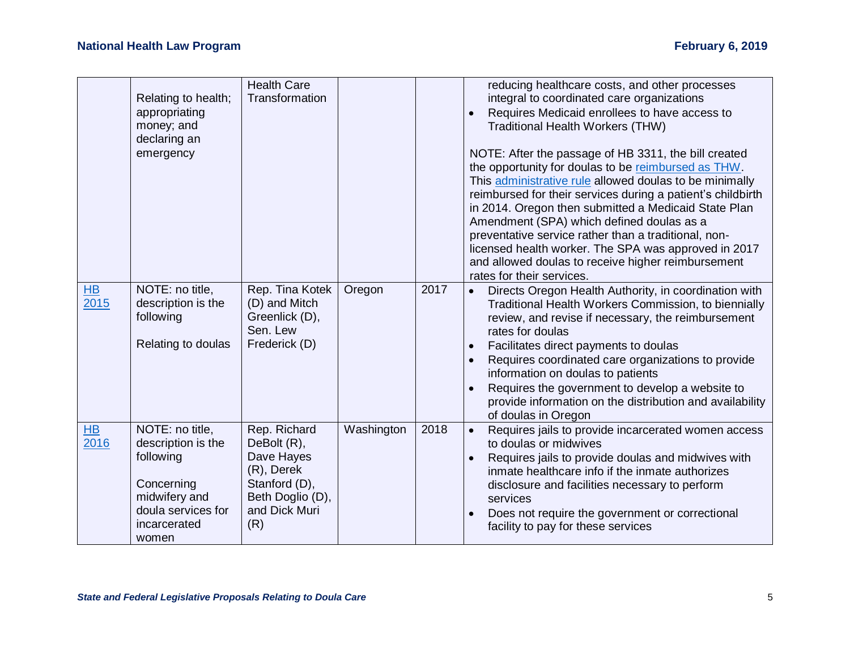|           |                     | <b>Health Care</b> |            |      | reducing healthcare costs, and other processes                                                                     |
|-----------|---------------------|--------------------|------------|------|--------------------------------------------------------------------------------------------------------------------|
|           | Relating to health; | Transformation     |            |      | integral to coordinated care organizations                                                                         |
|           | appropriating       |                    |            |      | Requires Medicaid enrollees to have access to                                                                      |
|           | money; and          |                    |            |      | Traditional Health Workers (THW)                                                                                   |
|           | declaring an        |                    |            |      |                                                                                                                    |
|           | emergency           |                    |            |      | NOTE: After the passage of HB 3311, the bill created                                                               |
|           |                     |                    |            |      | the opportunity for doulas to be reimbursed as THW.                                                                |
|           |                     |                    |            |      | This administrative rule allowed doulas to be minimally                                                            |
|           |                     |                    |            |      | reimbursed for their services during a patient's childbirth                                                        |
|           |                     |                    |            |      | in 2014. Oregon then submitted a Medicaid State Plan                                                               |
|           |                     |                    |            |      | Amendment (SPA) which defined doulas as a                                                                          |
|           |                     |                    |            |      | preventative service rather than a traditional, non-                                                               |
|           |                     |                    |            |      | licensed health worker. The SPA was approved in 2017                                                               |
|           |                     |                    |            |      | and allowed doulas to receive higher reimbursement                                                                 |
|           |                     |                    |            |      | rates for their services.                                                                                          |
| <b>HB</b> | NOTE: no title,     | Rep. Tina Kotek    | Oregon     | 2017 | Directs Oregon Health Authority, in coordination with<br>$\bullet$                                                 |
| 2015      | description is the  | (D) and Mitch      |            |      | Traditional Health Workers Commission, to biennially                                                               |
|           | following           | Greenlick (D),     |            |      | review, and revise if necessary, the reimbursement                                                                 |
|           |                     | Sen. Lew           |            |      | rates for doulas                                                                                                   |
|           | Relating to doulas  | Frederick (D)      |            |      | Facilitates direct payments to doulas<br>$\bullet$                                                                 |
|           |                     |                    |            |      | Requires coordinated care organizations to provide<br>$\bullet$                                                    |
|           |                     |                    |            |      | information on doulas to patients                                                                                  |
|           |                     |                    |            |      | Requires the government to develop a website to                                                                    |
|           |                     |                    |            |      | provide information on the distribution and availability                                                           |
| <b>HB</b> | NOTE: no title,     | Rep. Richard       |            | 2018 | of doulas in Oregon                                                                                                |
| 2016      | description is the  | DeBolt (R),        | Washington |      | Requires jails to provide incarcerated women access<br>$\bullet$<br>to doulas or midwives                          |
|           | following           | Dave Hayes         |            |      |                                                                                                                    |
|           |                     | (R), Derek         |            |      | Requires jails to provide doulas and midwives with<br>$\bullet$<br>inmate healthcare info if the inmate authorizes |
|           | Concerning          | Stanford (D),      |            |      | disclosure and facilities necessary to perform                                                                     |
|           | midwifery and       | Beth Doglio (D),   |            |      | services                                                                                                           |
|           | doula services for  | and Dick Muri      |            |      | Does not require the government or correctional<br>$\bullet$                                                       |
|           | incarcerated        | (R)                |            |      | facility to pay for these services                                                                                 |
|           | women               |                    |            |      |                                                                                                                    |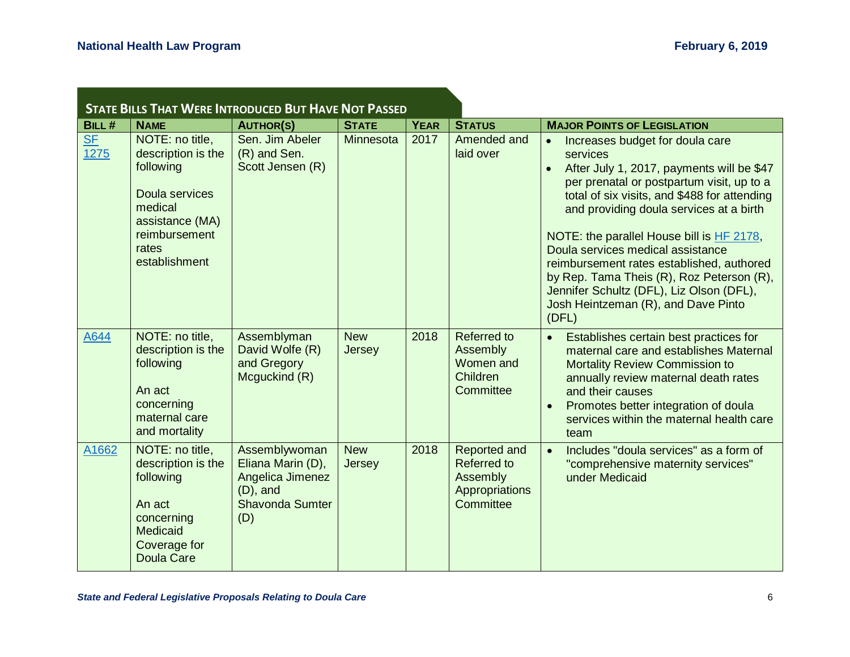a sa kabila sa kasang sa kalawang sa kasang sa kasang sa kasang sa kasang sa kasang sa kasang sa kasang sa kas

| <b>STATE BILLS THAT WERE INTRODUCED BUT HAVE NOT PASSED</b> |                                                                                                                                               |                                                                                                        |                      |             |                                                                               |                                                                                                                                                                                                                                                                                                                                                                                                                                                                                                                       |  |  |  |
|-------------------------------------------------------------|-----------------------------------------------------------------------------------------------------------------------------------------------|--------------------------------------------------------------------------------------------------------|----------------------|-------------|-------------------------------------------------------------------------------|-----------------------------------------------------------------------------------------------------------------------------------------------------------------------------------------------------------------------------------------------------------------------------------------------------------------------------------------------------------------------------------------------------------------------------------------------------------------------------------------------------------------------|--|--|--|
| BILL#                                                       | <b>NAME</b>                                                                                                                                   | <b>AUTHOR(S)</b>                                                                                       | <b>STATE</b>         | <b>YEAR</b> | <b>STATUS</b>                                                                 | <b>MAJOR POINTS OF LEGISLATION</b>                                                                                                                                                                                                                                                                                                                                                                                                                                                                                    |  |  |  |
| $SF$<br>1275                                                | NOTE: no title,<br>description is the<br>following<br>Doula services<br>medical<br>assistance (MA)<br>reimbursement<br>rates<br>establishment | Sen. Jim Abeler<br>(R) and Sen.<br>Scott Jensen (R)                                                    | Minnesota            | 2017        | Amended and<br>laid over                                                      | Increases budget for doula care<br>services<br>After July 1, 2017, payments will be \$47<br>$\bullet$<br>per prenatal or postpartum visit, up to a<br>total of six visits, and \$488 for attending<br>and providing doula services at a birth<br>NOTE: the parallel House bill is HF 2178,<br>Doula services medical assistance<br>reimbursement rates established, authored<br>by Rep. Tama Theis (R), Roz Peterson (R),<br>Jennifer Schultz (DFL), Liz Olson (DFL),<br>Josh Heintzeman (R), and Dave Pinto<br>(DFL) |  |  |  |
| A644                                                        | NOTE: no title,<br>description is the<br>following<br>An act<br>concerning<br>maternal care<br>and mortality                                  | Assemblyman<br>David Wolfe (R)<br>and Gregory<br>Mcguckind (R)                                         | <b>New</b><br>Jersey | 2018        | <b>Referred to</b><br>Assembly<br>Women and<br>Children<br>Committee          | Establishes certain best practices for<br>$\bullet$<br>maternal care and establishes Maternal<br><b>Mortality Review Commission to</b><br>annually review maternal death rates<br>and their causes<br>Promotes better integration of doula<br>services within the maternal health care<br>team                                                                                                                                                                                                                        |  |  |  |
| A1662                                                       | NOTE: no title,<br>description is the<br>following<br>An act<br>concerning<br>Medicaid<br>Coverage for<br><b>Doula Care</b>                   | Assemblywoman<br>Eliana Marin (D),<br>Angelica Jimenez<br>$(D)$ , and<br><b>Shavonda Sumter</b><br>(D) | <b>New</b><br>Jersey | 2018        | Reported and<br><b>Referred to</b><br>Assembly<br>Appropriations<br>Committee | Includes "doula services" as a form of<br>$\bullet$<br>"comprehensive maternity services"<br>under Medicaid                                                                                                                                                                                                                                                                                                                                                                                                           |  |  |  |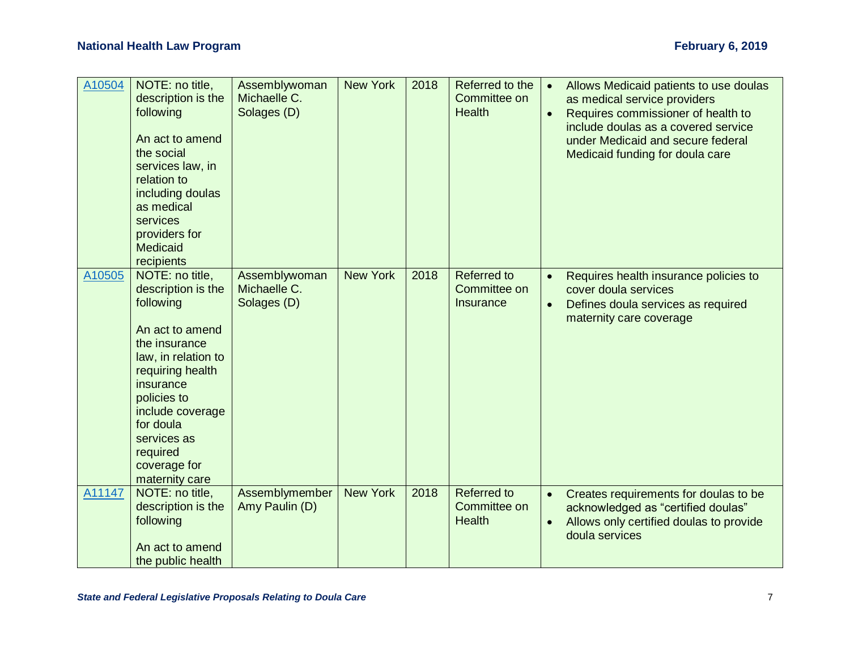| A10504 | NOTE: no title,<br>description is the<br>following<br>An act to amend<br>the social<br>services law, in<br>relation to<br>including doulas<br>as medical<br>services<br>providers for<br>Medicaid<br>recipients                                             | Assemblywoman<br>Michaelle C.<br>Solages (D) | <b>New York</b> | 2018 | Referred to the<br>Committee on<br><b>Health</b>    | Allows Medicaid patients to use doulas<br>$\bullet$<br>as medical service providers<br>Requires commissioner of health to<br>$\bullet$<br>include doulas as a covered service<br>under Medicaid and secure federal<br>Medicaid funding for doula care |
|--------|-------------------------------------------------------------------------------------------------------------------------------------------------------------------------------------------------------------------------------------------------------------|----------------------------------------------|-----------------|------|-----------------------------------------------------|-------------------------------------------------------------------------------------------------------------------------------------------------------------------------------------------------------------------------------------------------------|
| A10505 | NOTE: no title,<br>description is the<br>following<br>An act to amend<br>the insurance<br>law, in relation to<br>requiring health<br>insurance<br>policies to<br>include coverage<br>for doula<br>services as<br>required<br>coverage for<br>maternity care | Assemblywoman<br>Michaelle C.<br>Solages (D) | <b>New York</b> | 2018 | Referred to<br>Committee on<br><b>Insurance</b>     | Requires health insurance policies to<br>$\bullet$<br>cover doula services<br>Defines doula services as required<br>$\bullet$<br>maternity care coverage                                                                                              |
| A11147 | NOTE: no title,<br>description is the<br>following<br>An act to amend<br>the public health                                                                                                                                                                  | Assemblymember<br>Amy Paulin (D)             | <b>New York</b> | 2018 | <b>Referred to</b><br>Committee on<br><b>Health</b> | Creates requirements for doulas to be<br>$\bullet$<br>acknowledged as "certified doulas"<br>Allows only certified doulas to provide<br>doula services                                                                                                 |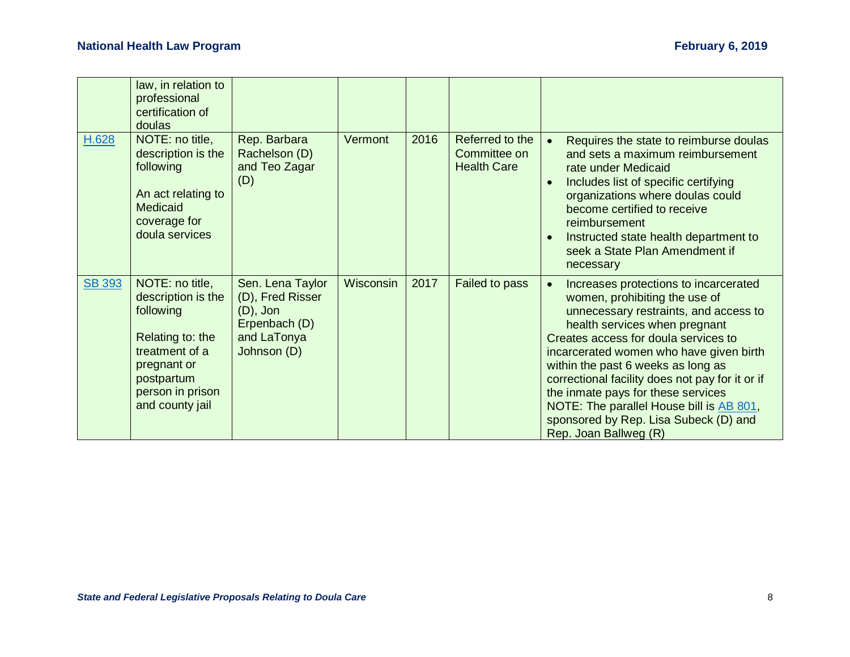|               | law, in relation to<br>professional<br>certification of<br>doulas                                                                                            |                                                                                                    |           |      |                                                       |                                                                                                                                                                                                                                                                                                                                                                                                                                                                                  |
|---------------|--------------------------------------------------------------------------------------------------------------------------------------------------------------|----------------------------------------------------------------------------------------------------|-----------|------|-------------------------------------------------------|----------------------------------------------------------------------------------------------------------------------------------------------------------------------------------------------------------------------------------------------------------------------------------------------------------------------------------------------------------------------------------------------------------------------------------------------------------------------------------|
| H.628         | NOTE: no title,<br>description is the<br>following<br>An act relating to<br>Medicaid<br>coverage for<br>doula services                                       | Rep. Barbara<br>Rachelson (D)<br>and Teo Zagar<br>(D)                                              | Vermont   | 2016 | Referred to the<br>Committee on<br><b>Health Care</b> | Requires the state to reimburse doulas<br>and sets a maximum reimbursement<br>rate under Medicaid<br>Includes list of specific certifying<br>organizations where doulas could<br>become certified to receive<br>reimbursement<br>Instructed state health department to<br>seek a State Plan Amendment if<br>necessary                                                                                                                                                            |
| <b>SB 393</b> | NOTE: no title,<br>description is the<br>following<br>Relating to: the<br>treatment of a<br>pregnant or<br>postpartum<br>person in prison<br>and county jail | Sen. Lena Taylor<br>(D), Fred Risser<br>$(D)$ , Jon<br>Erpenbach (D)<br>and LaTonya<br>Johnson (D) | Wisconsin | 2017 | <b>Failed to pass</b>                                 | Increases protections to incarcerated<br>women, prohibiting the use of<br>unnecessary restraints, and access to<br>health services when pregnant<br>Creates access for doula services to<br>incarcerated women who have given birth<br>within the past 6 weeks as long as<br>correctional facility does not pay for it or if<br>the inmate pays for these services<br>NOTE: The parallel House bill is AB 801,<br>sponsored by Rep. Lisa Subeck (D) and<br>Rep. Joan Ballweg (R) |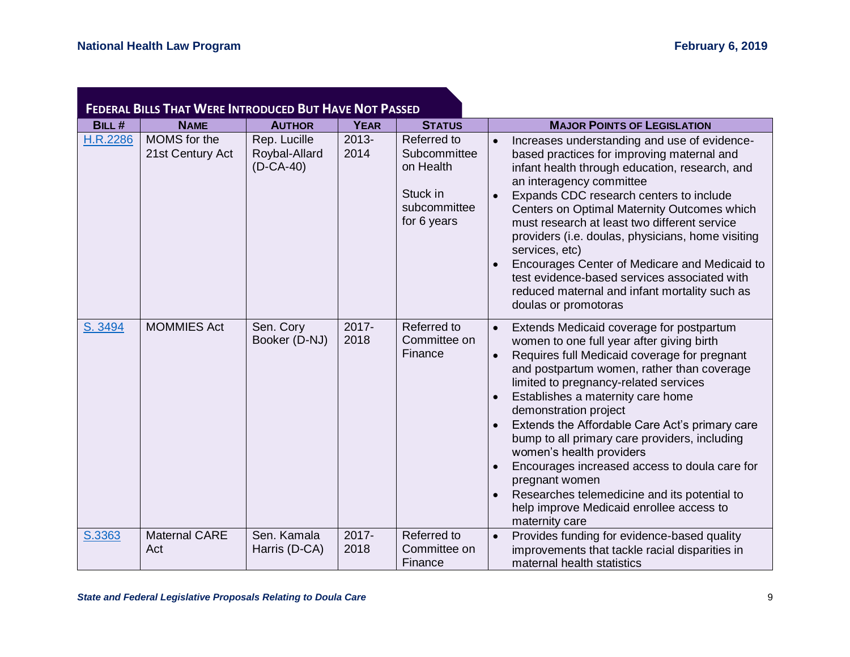|          | <b>FEDERAL BILLS THAT WERE INTRODUCED BUT HAVE NOT PASSED</b> |                                              |                  |                                                                                     |                                                                                                                                                                                                                                                                                                                                                                                                                                                                                                                                                                                                            |  |  |  |  |  |  |
|----------|---------------------------------------------------------------|----------------------------------------------|------------------|-------------------------------------------------------------------------------------|------------------------------------------------------------------------------------------------------------------------------------------------------------------------------------------------------------------------------------------------------------------------------------------------------------------------------------------------------------------------------------------------------------------------------------------------------------------------------------------------------------------------------------------------------------------------------------------------------------|--|--|--|--|--|--|
| BILL#    | <b>NAME</b>                                                   | <b>AUTHOR</b>                                | <b>YEAR</b>      | <b>STATUS</b>                                                                       | <b>MAJOR POINTS OF LEGISLATION</b>                                                                                                                                                                                                                                                                                                                                                                                                                                                                                                                                                                         |  |  |  |  |  |  |
| H.R.2286 | MOMS for the<br>21st Century Act                              | Rep. Lucille<br>Roybal-Allard<br>$(D-CA-40)$ | $2013 -$<br>2014 | Referred to<br>Subcommittee<br>on Health<br>Stuck in<br>subcommittee<br>for 6 years | Increases understanding and use of evidence-<br>based practices for improving maternal and<br>infant health through education, research, and<br>an interagency committee<br>Expands CDC research centers to include<br>Centers on Optimal Maternity Outcomes which<br>must research at least two different service<br>providers (i.e. doulas, physicians, home visiting<br>services, etc)<br>Encourages Center of Medicare and Medicaid to<br>test evidence-based services associated with<br>reduced maternal and infant mortality such as<br>doulas or promotoras                                        |  |  |  |  |  |  |
| S. 3494  | <b>MOMMIES Act</b>                                            | Sen. Cory<br>Booker (D-NJ)                   | 2017-<br>2018    | Referred to<br>Committee on<br>Finance                                              | Extends Medicaid coverage for postpartum<br>women to one full year after giving birth<br>Requires full Medicaid coverage for pregnant<br>and postpartum women, rather than coverage<br>limited to pregnancy-related services<br>Establishes a maternity care home<br>demonstration project<br>Extends the Affordable Care Act's primary care<br>bump to all primary care providers, including<br>women's health providers<br>Encourages increased access to doula care for<br>pregnant women<br>Researches telemedicine and its potential to<br>help improve Medicaid enrollee access to<br>maternity care |  |  |  |  |  |  |
| S.3363   | Maternal CARE<br>Act                                          | Sen. Kamala<br>Harris (D-CA)                 | 2017-<br>2018    | Referred to<br>Committee on<br>Finance                                              | Provides funding for evidence-based quality<br>$\bullet$<br>improvements that tackle racial disparities in<br>maternal health statistics                                                                                                                                                                                                                                                                                                                                                                                                                                                                   |  |  |  |  |  |  |

 $\mathcal{L}(\mathcal{L}^{\mathcal{L}}_{\mathcal{L}})$  and  $\mathcal{L}^{\mathcal{L}}_{\mathcal{L}}$  and  $\mathcal{L}^{\mathcal{L}}_{\mathcal{L}}$  and  $\mathcal{L}^{\mathcal{L}}_{\mathcal{L}}$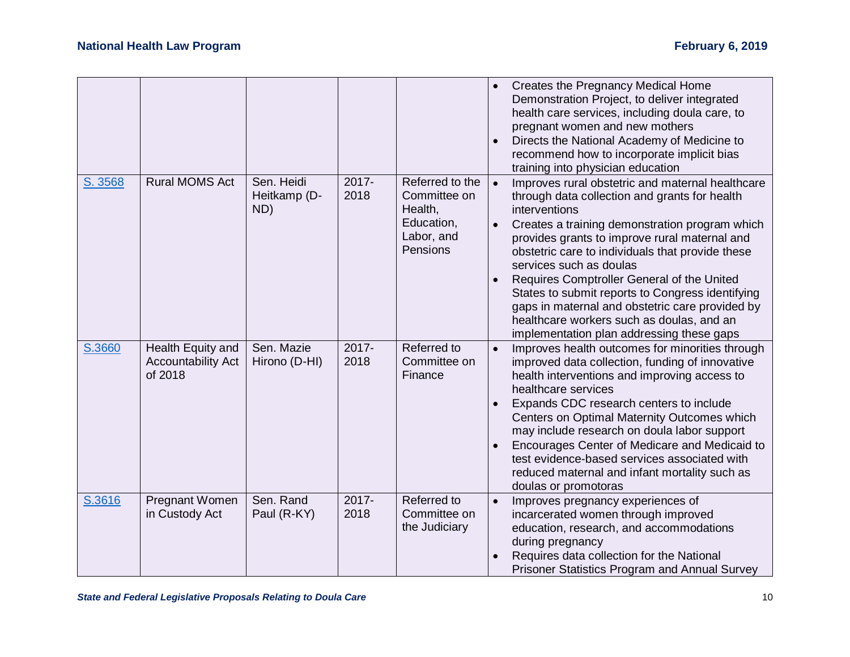|         |                                                           |                                   |                  |                                                                                    |           | Creates the Pregnancy Medical Home<br>Demonstration Project, to deliver integrated<br>health care services, including doula care, to<br>pregnant women and new mothers<br>Directs the National Academy of Medicine to<br>recommend how to incorporate implicit bias<br>training into physician education                                                                                                                                                                                                                                            |
|---------|-----------------------------------------------------------|-----------------------------------|------------------|------------------------------------------------------------------------------------|-----------|-----------------------------------------------------------------------------------------------------------------------------------------------------------------------------------------------------------------------------------------------------------------------------------------------------------------------------------------------------------------------------------------------------------------------------------------------------------------------------------------------------------------------------------------------------|
| S. 3568 | <b>Rural MOMS Act</b>                                     | Sen. Heidi<br>Heitkamp (D-<br>ND) | $2017 -$<br>2018 | Referred to the<br>Committee on<br>Health,<br>Education,<br>Labor, and<br>Pensions | $\bullet$ | Improves rural obstetric and maternal healthcare<br>through data collection and grants for health<br>interventions<br>Creates a training demonstration program which<br>provides grants to improve rural maternal and<br>obstetric care to individuals that provide these<br>services such as doulas<br>Requires Comptroller General of the United<br>States to submit reports to Congress identifying<br>gaps in maternal and obstetric care provided by<br>healthcare workers such as doulas, and an<br>implementation plan addressing these gaps |
| S.3660  | Health Equity and<br><b>Accountability Act</b><br>of 2018 | Sen. Mazie<br>Hirono (D-HI)       | $2017 -$<br>2018 | Referred to<br>Committee on<br>Finance                                             | $\bullet$ | Improves health outcomes for minorities through<br>improved data collection, funding of innovative<br>health interventions and improving access to<br>healthcare services<br>Expands CDC research centers to include<br>Centers on Optimal Maternity Outcomes which<br>may include research on doula labor support<br>Encourages Center of Medicare and Medicaid to<br>test evidence-based services associated with<br>reduced maternal and infant mortality such as<br>doulas or promotoras                                                        |
| S.3616  | Pregnant Women<br>in Custody Act                          | Sen. Rand<br>Paul (R-KY)          | 2017-<br>2018    | Referred to<br>Committee on<br>the Judiciary                                       | $\bullet$ | Improves pregnancy experiences of<br>incarcerated women through improved<br>education, research, and accommodations<br>during pregnancy<br>Requires data collection for the National<br><b>Prisoner Statistics Program and Annual Survey</b>                                                                                                                                                                                                                                                                                                        |